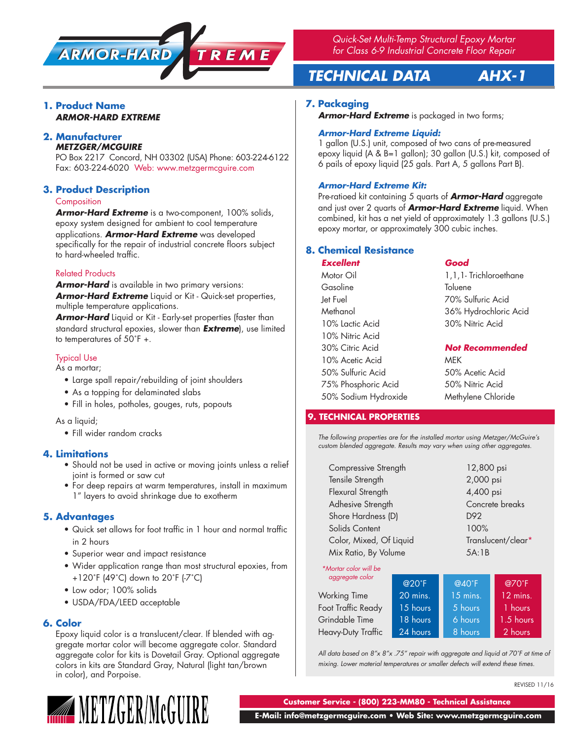

*Quick-Set Multi-Temp Structural Epoxy Mortar for Class 6-9 Industrial Concrete Floor Repair*

# *TECHNICAL DATA AHX-1*

### **1. Product Name** *ARMOR-HARD EXTREME*

#### **2. Manufacturer** *METZGER/MCGUIRE*

PO Box 2217 Concord, NH 03302 (USA) Phone: 603-224-6122 Fax: 603-224-6020 Web: www.metzgermcguire.com

# **3. Product Description**

### **Composition**

*Armor-Hard Extreme* is a two-component, 100% solids, epoxy system designed for ambient to cool temperature applications. *Armor-Hard Extreme* was developed specifically for the repair of industrial concrete floors subject to hard-wheeled traffic.

# Related Products

*Armor-Hard* is available in two primary versions: *Armor-Hard Extreme* Liquid or Kit - Quick-set properties, multiple temperature applications.

*Armor-Hard* Liquid or Kit - Early-set properties (faster than standard structural epoxies, slower than *Extreme*), use limited to temperatures of 50˚F +.

# Typical Use

As a mortar;

- Large spall repair/rebuilding of joint shoulders
- As a topping for delaminated slabs
- Fill in holes, potholes, gouges, ruts, popouts

As a liquid;

• Fill wider random cracks

### **4. Limitations**

- Should not be used in active or moving joints unless a relief joint is formed or saw cut
- For deep repairs at warm temperatures, install in maximum 1" layers to avoid shrinkage due to exotherm

### **5. Advantages**

- Quick set allows for foot traffic in 1 hour and normal traffic in 2 hours
- Superior wear and impact resistance
- Wider application range than most structural epoxies, from +120˚F (49˚C) down to 20˚F (-7˚C)
- Low odor; 100% solids
- USDA/FDA/LEED acceptable

#### **6. Color**

Epoxy liquid color is a translucent/clear. If blended with aggregate mortar color will become aggregate color. Standard aggregate color for kits is Dovetail Gray. Optional aggregate colors in kits are Standard Gray, Natural (light tan/brown in color), and Porpoise.



### **7. Packaging**

**Armor-Hard Extreme** is packaged in two forms;

#### *Armor-Hard Extreme Liquid:*

1 gallon (U.S.) unit, composed of two cans of pre-measured epoxy liquid (A & B=1 gallon); 30 gallon (U.S.) kit, composed of 6 pails of epoxy liquid (25 gals. Part A, 5 gallons Part B).

### *Armor-Hard Extreme Kit:*

Pre-ratioed kit containing 5 quarts of *Armor-Hard* aggregate and just over 2 quarts of *Armor-Hard Extreme* liquid. When combined, kit has a net yield of approximately 1.3 gallons (U.S.) epoxy mortar, or approximately 300 cubic inches.

## **8. Chemical Resistance**

| <b>Excellent</b>     | Good                     |  |
|----------------------|--------------------------|--|
| Motor Oil            | 1, 1, 1- Trichloroethane |  |
| Gasoline             | Toluene                  |  |
| Jet Fuel             | 70% Sulfuric Acid        |  |
| Methanol             | 36% Hydrochloric Acid    |  |
| 10% Lactic Acid      | 30% Nitric Acid          |  |
| 10% Nitric Acid      |                          |  |
| 30% Citric Acid      | <b>Not Recommended</b>   |  |
| 10% Acetic Acid      | MEK                      |  |
| 50% Sulfuric Acid    | 50% Acetic Acid          |  |
| 75% Phosphoric Acid  | 50% Nitric Acid          |  |
| 50% Sodium Hydroxide | Methylene Chloride       |  |

### **9. TECHNICAL PROPERTIES**

*The following properties are for the installed mortar using Metzger/McGuire's custom blended aggregate. Results may vary when using other aggregates.*

| Compressive Strength    | 12,800 psi         |  |
|-------------------------|--------------------|--|
| Tensile Strength        | 2,000 psi          |  |
| Flexural Strength       | 4,400 psi          |  |
| Adhesive Strength       | Concrete breaks    |  |
| Shore Hardness (D)      | D92                |  |
| Solids Content          | 100%               |  |
| Color, Mixed, Of Liquid | Translucent/clear* |  |
| Mix Ratio, By Volume    | 5A:1B              |  |
|                         |                    |  |

#### *\*Mortar color will be aggregate color*

|                     | $@20^{\circ}F$ | $@40^{\circ}F$ | @70°F       |
|---------------------|----------------|----------------|-------------|
| <b>Working Time</b> | 20 mins.       | $15$ mins.     | 12 mins.    |
| Foot Traffic Ready  | 15 hours       | 5 hours        | 1 hours     |
| Grindable Time      | 18 hours       | 6 hours        | $1.5$ hours |
| Heavy-Duty Traffic  | 24 hours       | 8 hours        | 2 hours     |

*All data based on 8"x 8"x .75" repair with aggregate and liquid at 70˚F at time of mixing. Lower material temperatures or smaller defects will extend these times.*

REVISED 11/16

**Customer Service - (800) 223-MM80 - Technical Assistance**

 **E-Mail: info@metzgermcguire.com • Web Site: www.metzgermcguire.com**